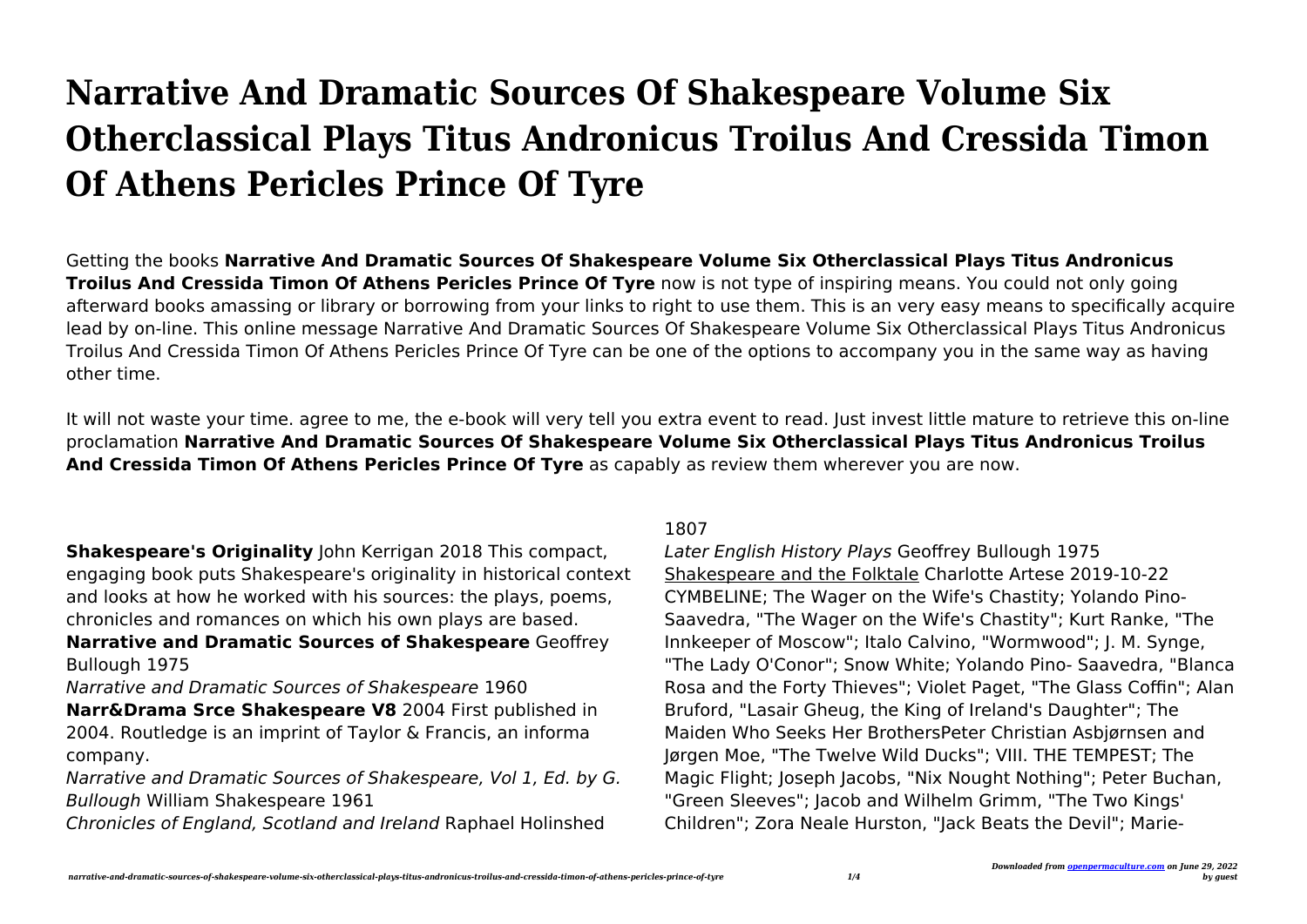## **Narrative And Dramatic Sources Of Shakespeare Volume Six Otherclassical Plays Titus Andronicus Troilus And Cressida Timon Of Athens Pericles Prince Of Tyre**

Getting the books **Narrative And Dramatic Sources Of Shakespeare Volume Six Otherclassical Plays Titus Andronicus Troilus And Cressida Timon Of Athens Pericles Prince Of Tyre** now is not type of inspiring means. You could not only going afterward books amassing or library or borrowing from your links to right to use them. This is an very easy means to specifically acquire lead by on-line. This online message Narrative And Dramatic Sources Of Shakespeare Volume Six Otherclassical Plays Titus Andronicus Troilus And Cressida Timon Of Athens Pericles Prince Of Tyre can be one of the options to accompany you in the same way as having other time.

It will not waste your time. agree to me, the e-book will very tell you extra event to read. Just invest little mature to retrieve this on-line proclamation **Narrative And Dramatic Sources Of Shakespeare Volume Six Otherclassical Plays Titus Andronicus Troilus And Cressida Timon Of Athens Pericles Prince Of Tyre** as capably as review them wherever you are now.

**Shakespeare's Originality** John Kerrigan 2018 This compact, engaging book puts Shakespeare's originality in historical context and looks at how he worked with his sources: the plays, poems, chronicles and romances on which his own plays are based.

**Narrative and Dramatic Sources of Shakespeare** Geoffrey Bullough 1975

Narrative and Dramatic Sources of Shakespeare 1960

**Narr&Drama Srce Shakespeare V8** 2004 First published in 2004. Routledge is an imprint of Taylor & Francis, an informa company.

Narrative and Dramatic Sources of Shakespeare, Vol 1, Ed. by G. Bullough William Shakespeare 1961

Chronicles of England, Scotland and Ireland Raphael Holinshed

## 1807

Later English History Plays Geoffrey Bullough 1975 Shakespeare and the Folktale Charlotte Artese 2019-10-22 CYMBELINE; The Wager on the Wife's Chastity; Yolando Pino-Saavedra, "The Wager on the Wife's Chastity"; Kurt Ranke, "The Innkeeper of Moscow"; Italo Calvino, "Wormwood"; J. M. Synge, "The Lady O'Conor"; Snow White; Yolando Pino- Saavedra, "Blanca Rosa and the Forty Thieves"; Violet Paget, "The Glass Coffin"; Alan Bruford, "Lasair Gheug, the King of Ireland's Daughter"; The Maiden Who Seeks Her BrothersPeter Christian Asbjørnsen and Jørgen Moe, "The Twelve Wild Ducks"; VIII. THE TEMPEST; The Magic Flight; Joseph Jacobs, "Nix Nought Nothing"; Peter Buchan, "Green Sleeves"; Jacob and Wilhelm Grimm, "The Two Kings' Children"; Zora Neale Hurston, "Jack Beats the Devil"; Marie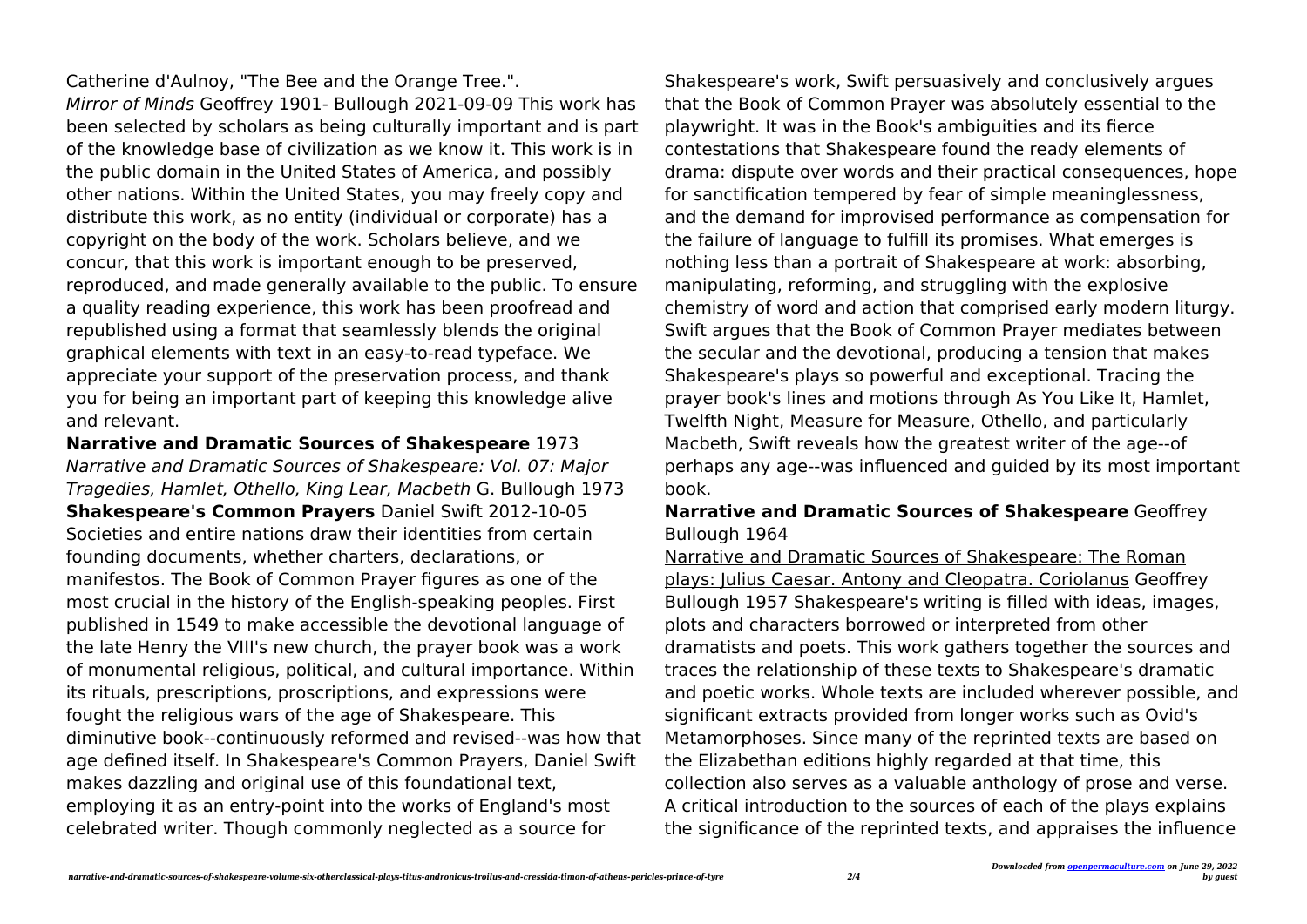Catherine d'Aulnoy, "The Bee and the Orange Tree.".

Mirror of Minds Geoffrey 1901- Bullough 2021-09-09 This work has been selected by scholars as being culturally important and is part of the knowledge base of civilization as we know it. This work is in the public domain in the United States of America, and possibly other nations. Within the United States, you may freely copy and distribute this work, as no entity (individual or corporate) has a copyright on the body of the work. Scholars believe, and we concur, that this work is important enough to be preserved, reproduced, and made generally available to the public. To ensure a quality reading experience, this work has been proofread and republished using a format that seamlessly blends the original graphical elements with text in an easy-to-read typeface. We appreciate your support of the preservation process, and thank you for being an important part of keeping this knowledge alive and relevant.

**Narrative and Dramatic Sources of Shakespeare** 1973 Narrative and Dramatic Sources of Shakespeare: Vol. 07: Major Tragedies, Hamlet, Othello, King Lear, Macbeth G. Bullough 1973 **Shakespeare's Common Prayers** Daniel Swift 2012-10-05 Societies and entire nations draw their identities from certain founding documents, whether charters, declarations, or manifestos. The Book of Common Prayer figures as one of the most crucial in the history of the English-speaking peoples. First published in 1549 to make accessible the devotional language of the late Henry the VIII's new church, the prayer book was a work of monumental religious, political, and cultural importance. Within its rituals, prescriptions, proscriptions, and expressions were fought the religious wars of the age of Shakespeare. This diminutive book--continuously reformed and revised--was how that age defined itself. In Shakespeare's Common Prayers, Daniel Swift makes dazzling and original use of this foundational text, employing it as an entry-point into the works of England's most celebrated writer. Though commonly neglected as a source for

Shakespeare's work, Swift persuasively and conclusively argues that the Book of Common Prayer was absolutely essential to the playwright. It was in the Book's ambiguities and its fierce contestations that Shakespeare found the ready elements of drama: dispute over words and their practical consequences, hope for sanctification tempered by fear of simple meaninglessness, and the demand for improvised performance as compensation for the failure of language to fulfill its promises. What emerges is nothing less than a portrait of Shakespeare at work: absorbing, manipulating, reforming, and struggling with the explosive chemistry of word and action that comprised early modern liturgy. Swift argues that the Book of Common Prayer mediates between the secular and the devotional, producing a tension that makes Shakespeare's plays so powerful and exceptional. Tracing the prayer book's lines and motions through As You Like It, Hamlet, Twelfth Night, Measure for Measure, Othello, and particularly Macbeth, Swift reveals how the greatest writer of the age--of perhaps any age--was influenced and guided by its most important book.

## **Narrative and Dramatic Sources of Shakespeare** Geoffrey Bullough 1964

Narrative and Dramatic Sources of Shakespeare: The Roman plays: Julius Caesar. Antony and Cleopatra. Coriolanus Geoffrey Bullough 1957 Shakespeare's writing is filled with ideas, images, plots and characters borrowed or interpreted from other dramatists and poets. This work gathers together the sources and traces the relationship of these texts to Shakespeare's dramatic and poetic works. Whole texts are included wherever possible, and significant extracts provided from longer works such as Ovid's Metamorphoses. Since many of the reprinted texts are based on the Elizabethan editions highly regarded at that time, this collection also serves as a valuable anthology of prose and verse. A critical introduction to the sources of each of the plays explains the significance of the reprinted texts, and appraises the influence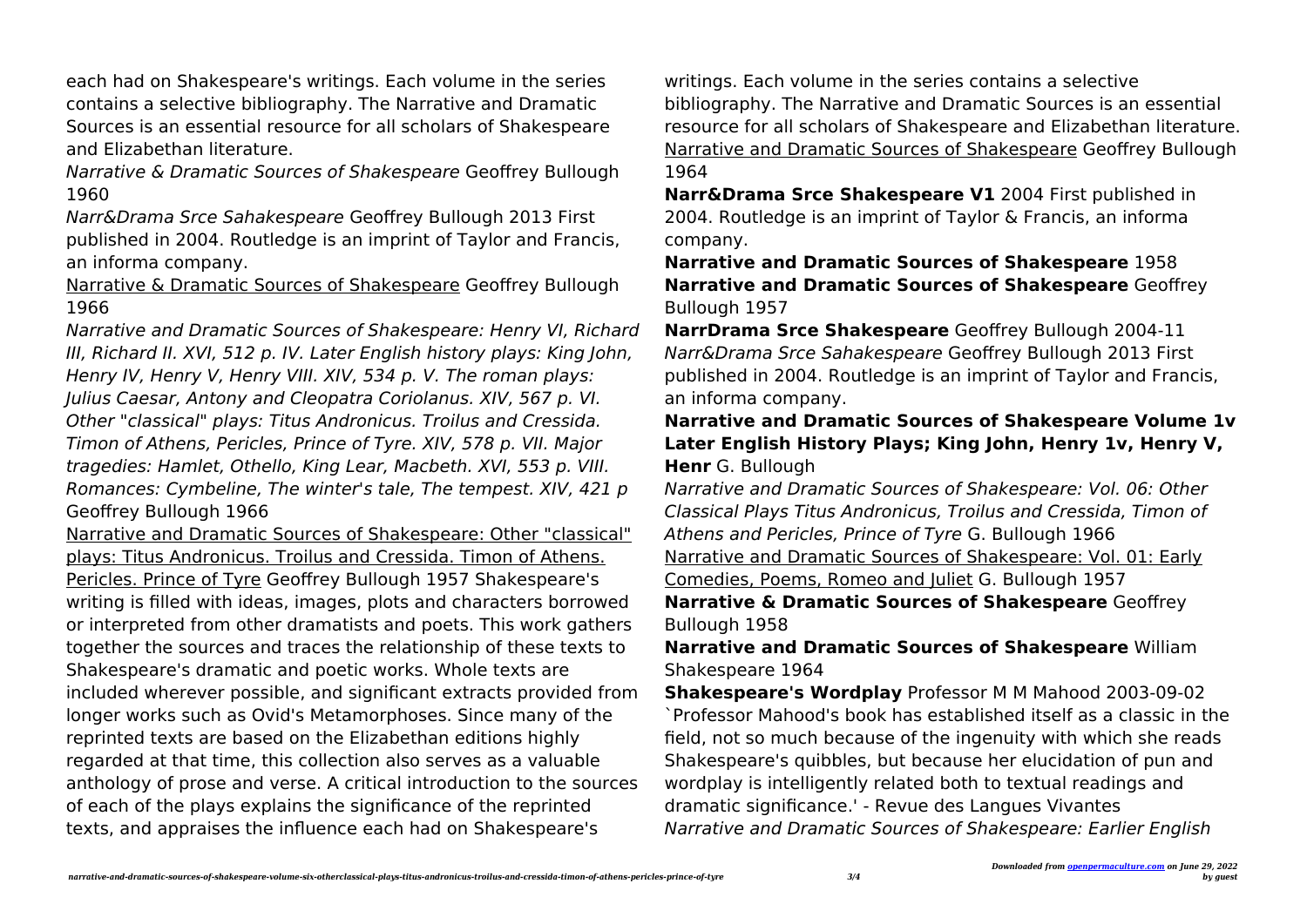each had on Shakespeare's writings. Each volume in the series contains a selective bibliography. The Narrative and Dramatic Sources is an essential resource for all scholars of Shakespeare and Elizabethan literature.

Narrative & Dramatic Sources of Shakespeare Geoffrey Bullough 1960

Narr&Drama Srce Sahakespeare Geoffrey Bullough 2013 First published in 2004. Routledge is an imprint of Taylor and Francis, an informa company.

Narrative & Dramatic Sources of Shakespeare Geoffrey Bullough 1966

Narrative and Dramatic Sources of Shakespeare: Henry VI, Richard III, Richard II. XVI, 512 p. IV. Later English history plays: King John, Henry IV, Henry V, Henry VIII. XIV, 534 p. V. The roman plays: Julius Caesar, Antony and Cleopatra Coriolanus. XIV, 567 p. VI. Other "classical" plays: Titus Andronicus. Troilus and Cressida. Timon of Athens, Pericles, Prince of Tyre. XIV, 578 p. VII. Major tragedies: Hamlet, Othello, King Lear, Macbeth. XVI, 553 p. VIII. Romances: Cymbeline, The winter's tale, The tempest. XIV, 421 p Geoffrey Bullough 1966

Narrative and Dramatic Sources of Shakespeare: Other "classical" plays: Titus Andronicus. Troilus and Cressida. Timon of Athens. Pericles. Prince of Tyre Geoffrey Bullough 1957 Shakespeare's writing is filled with ideas, images, plots and characters borrowed or interpreted from other dramatists and poets. This work gathers together the sources and traces the relationship of these texts to Shakespeare's dramatic and poetic works. Whole texts are included wherever possible, and significant extracts provided from longer works such as Ovid's Metamorphoses. Since many of the reprinted texts are based on the Elizabethan editions highly regarded at that time, this collection also serves as a valuable anthology of prose and verse. A critical introduction to the sources of each of the plays explains the significance of the reprinted texts, and appraises the influence each had on Shakespeare's

writings. Each volume in the series contains a selective bibliography. The Narrative and Dramatic Sources is an essential resource for all scholars of Shakespeare and Elizabethan literature. Narrative and Dramatic Sources of Shakespeare Geoffrey Bullough 1964

**Narr&Drama Srce Shakespeare V1** 2004 First published in 2004. Routledge is an imprint of Taylor & Francis, an informa company.

**Narrative and Dramatic Sources of Shakespeare** 1958 **Narrative and Dramatic Sources of Shakespeare** Geoffrey Bullough 1957

**NarrDrama Srce Shakespeare** Geoffrey Bullough 2004-11 Narr&Drama Srce Sahakespeare Geoffrey Bullough 2013 First published in 2004. Routledge is an imprint of Taylor and Francis, an informa company.

## **Narrative and Dramatic Sources of Shakespeare Volume 1v Later English History Plays; King John, Henry 1v, Henry V, Henr** G. Bullough

Narrative and Dramatic Sources of Shakespeare: Vol. 06: Other Classical Plays Titus Andronicus, Troilus and Cressida, Timon of Athens and Pericles, Prince of Tyre G. Bullough 1966 Narrative and Dramatic Sources of Shakespeare: Vol. 01: Early Comedies, Poems, Romeo and Juliet G. Bullough 1957 **Narrative & Dramatic Sources of Shakespeare** Geoffrey Bullough 1958

**Narrative and Dramatic Sources of Shakespeare** William Shakespeare 1964

**Shakespeare's Wordplay** Professor M M Mahood 2003-09-02 `Professor Mahood's book has established itself as a classic in the field, not so much because of the ingenuity with which she reads Shakespeare's quibbles, but because her elucidation of pun and wordplay is intelligently related both to textual readings and dramatic significance.' - Revue des Langues Vivantes Narrative and Dramatic Sources of Shakespeare: Earlier English